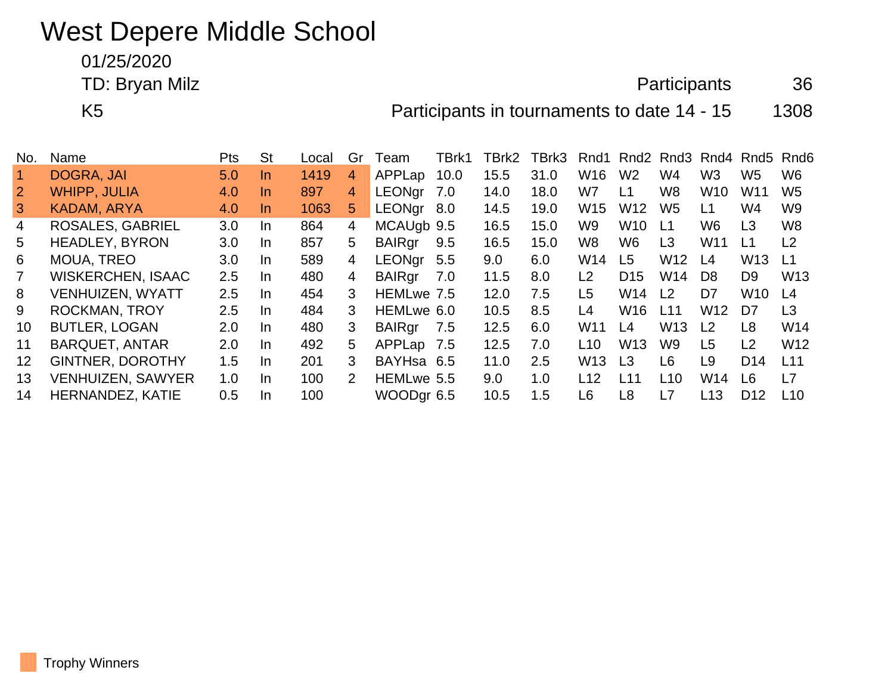## West Depere Middle School

01/25/2020

TD: Bryan Milz **Alternative Contract Contract Contract Contract Contract Contract Contract Contract Contract Contract Contract Contract Contract Contract Contract Contract Contract Contract Contract Contract Contract Contr** 

K5 **Participants in tournaments to date 14 - 15** 1308

| No.            | Name                     | <b>Pts</b> | <b>St</b> | Local | Gr            | Team          | TBrk1 | TBrk2            | TBrk3 | Rnd1            |                 | Rnd <sub>2</sub> Rnd <sub>3</sub> |                 |                 | Rnd4 Rnd5 Rnd6  |
|----------------|--------------------------|------------|-----------|-------|---------------|---------------|-------|------------------|-------|-----------------|-----------------|-----------------------------------|-----------------|-----------------|-----------------|
|                | DOGRA, JAI               | 5.0        | In.       | 1419  | 4             | APPLap        | 10.0  | 15.5             | 31.0  | W16             | W <sub>2</sub>  | W4                                | W <sub>3</sub>  | W <sub>5</sub>  | W6              |
| $\overline{2}$ | <b>WHIPP, JULIA</b>      | 4.0        | <u>In</u> | 897   | 4             | <b>LEONgr</b> | 7.0   | 14.0             | 18.0  | W7              | L1              | W8                                | W <sub>10</sub> | W11             | W <sub>5</sub>  |
| $\mathbf{3}$   | KADAM, ARYA              | 4.0        | In.       | 1063  | 5             | LEONgr        | 8.0   | 14.5             | 19.0  | W <sub>15</sub> | W <sub>12</sub> | W5                                | L1              | W4              | W <sub>9</sub>  |
| 4              | <b>ROSALES, GABRIEL</b>  | 3.0        | In.       | 864   | 4             | MCAUgb 9.5    |       | 16.5             | 15.0  | W9.             | W <sub>10</sub> | L1                                | W6              | L <sub>3</sub>  | W8              |
| 5              | <b>HEADLEY, BYRON</b>    | 3.0        | In.       | 857   | 5             | <b>BAIRgr</b> | 9.5   | 16.5             | 15.0  | W8              | W6              | L <sub>3</sub>                    | W <sub>11</sub> | L1              | L2              |
| 6              | <b>MOUA, TREO</b>        | 3.0        | In.       | 589   | 4             | <b>LEONgr</b> | 5.5   | 9.0 <sub>1</sub> | 6.0   | W14             | L5              | W <sub>12</sub>                   | L4              | W <sub>13</sub> | $\lfloor 1$     |
|                | <b>WISKERCHEN, ISAAC</b> | $2.5\,$    | In.       | 480   | 4             | <b>BAIRgr</b> | 7.0   | 11.5             | 8.0   | L <sub>2</sub>  | D <sub>15</sub> | W <sub>14</sub>                   | D <sub>8</sub>  | D <sub>9</sub>  | W <sub>13</sub> |
| 8              | VENHUIZEN, WYATT         | 2.5        | In.       | 454   | 3             | HEMLwe 7.5    |       | 12.0             | 7.5   | L5              | W <sub>14</sub> | L <sub>2</sub>                    | D7              | W <sub>10</sub> | L <sub>4</sub>  |
| 9              | <b>ROCKMAN, TROY</b>     | $2.5\,$    | In.       | 484   | 3             | HEMLwe 6.0    |       | 10.5             | 8.5   | L4              | W <sub>16</sub> | L11                               | W <sub>12</sub> | D7              | L <sub>3</sub>  |
| 10             | <b>BUTLER, LOGAN</b>     | 2.0        | In.       | 480   | 3             | <b>BAIRgr</b> | 7.5   | 12.5             | 6.0   | W <sub>11</sub> | L4              | W <sub>13</sub>                   | L <sub>2</sub>  | L8              | W14             |
| 11             | <b>BARQUET, ANTAR</b>    | 2.0        | In.       | 492   | 5             | APPLap 7.5    |       | 12.5             | 7.0   | L <sub>10</sub> | W <sub>13</sub> | W9                                | L5              | L2              | W <sub>12</sub> |
| 12             | <b>GINTNER, DOROTHY</b>  | 1.5        | In.       | 201   | 3             | BAYHsa 6.5    |       | 11.0             | 2.5   | W <sub>13</sub> | L <sub>3</sub>  | L6                                | L9              | D <sub>14</sub> | L <sub>11</sub> |
| 13             | <b>VENHUIZEN, SAWYER</b> | 1.0        | In.       | 100   | $\mathcal{P}$ | HEMLwe 5.5    |       | 9.0              | 1.0   | L12             | l 11            | L10                               | W14             | L6              | L7              |
| 14             | <b>HERNANDEZ, KATIE</b>  | 0.5        | In.       | 100   |               | WOODgr 6.5    |       | 10.5             | 1.5   | L6              | L8              | L7                                | L <sub>13</sub> | D <sub>12</sub> | L <sub>10</sub> |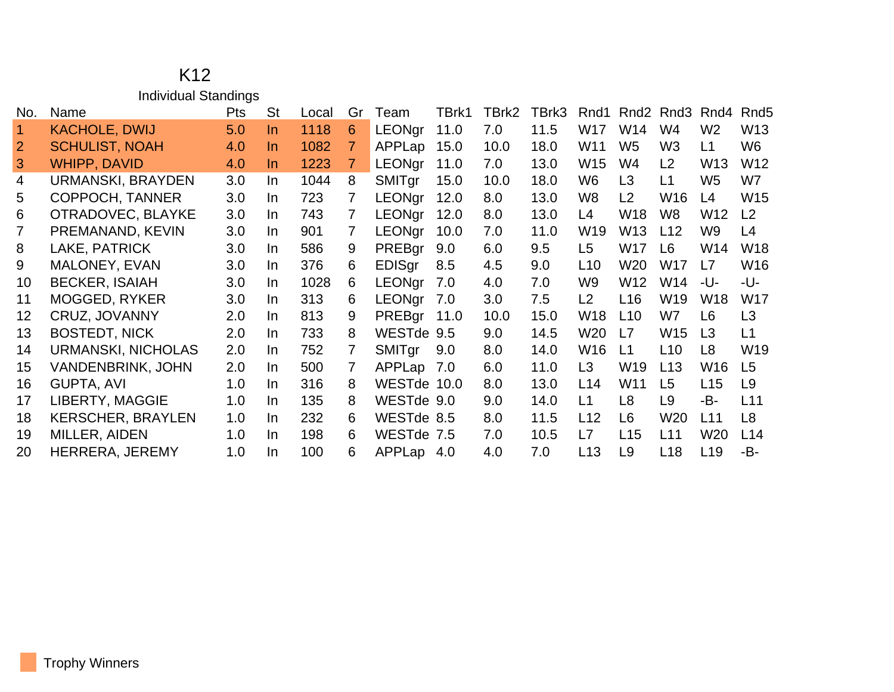## K12 Individual Standings

| No. | Name                     | Pts | <b>St</b> | Local | Gr | Team          | TBrk1 | TBrk2 | TBrk3 | Rnd1 | Rnd <sub>2</sub> | Rnd3            | Rnd4            | Rnd <sub>5</sub> |
|-----|--------------------------|-----|-----------|-------|----|---------------|-------|-------|-------|------|------------------|-----------------|-----------------|------------------|
|     | <b>KACHOLE, DWIJ</b>     | 5.0 | In.       | 1118  | 6  | <b>LEONgr</b> | 11.0  | 7.0   | 11.5  | W17  | W14              | W4              | W <sub>2</sub>  | W <sub>13</sub>  |
| 2   | <b>SCHULIST, NOAH</b>    | 4.0 | In.       | 1082  | 7  | APPLap        | 15.0  | 10.0  | 18.0  | W11  | W <sub>5</sub>   | W3              | L1              | W <sub>6</sub>   |
| 3   | <b>WHIPP, DAVID</b>      | 4.0 | In.       | 1223  | 7  | <b>LEONgr</b> | 11.0  | 7.0   | 13.0  | W15  | W4               | L2              | W13             | W <sub>12</sub>  |
| 4   | URMANSKI, BRAYDEN        | 3.0 | In.       | 1044  | 8  | <b>SMITgr</b> | 15.0  | 10.0  | 18.0  | W6   | L <sub>3</sub>   | L1              | W <sub>5</sub>  | W7               |
| 5   | <b>COPPOCH, TANNER</b>   | 3.0 | In.       | 723   | 7  | LEONgr        | 12.0  | 8.0   | 13.0  | W8   | L2               | W16             | L4              | W <sub>15</sub>  |
| 6   | OTRADOVEC, BLAYKE        | 3.0 | In.       | 743   | 7  | <b>LEONgr</b> | 12.0  | 8.0   | 13.0  | L4   | W18              | W8              | W12             | L <sub>2</sub>   |
| 7   | PREMANAND, KEVIN         | 3.0 | In.       | 901   | 7  | <b>LEONar</b> | 10.0  | 7.0   | 11.0  | W19  | W <sub>13</sub>  | L12             | W9              | L4               |
| 8   | LAKE, PATRICK            | 3.0 | In.       | 586   | 9  | PREBgr        | 9.0   | 6.0   | 9.5   | L5   | W17              | L <sub>6</sub>  | W14             | W <sub>18</sub>  |
| 9   | MALONEY, EVAN            | 3.0 | In.       | 376   | 6  | <b>EDISgr</b> | 8.5   | 4.5   | 9.0   | L10  | W20              | W17             | L7              | W16              |
| 10  | <b>BECKER, ISAIAH</b>    | 3.0 | In.       | 1028  | 6  | LEONgr        | 7.0   | 4.0   | 7.0   | W9   | W12              | W14             | -U-             | -U-              |
| 11  | <b>MOGGED, RYKER</b>     | 3.0 | In.       | 313   | 6  | LEONgr        | 7.0   | 3.0   | 7.5   | L2   | L <sub>16</sub>  | W19             | W18             | <b>W17</b>       |
| 12  | <b>CRUZ, JOVANNY</b>     | 2.0 | In.       | 813   | 9  | PREBgr        | 11.0  | 10.0  | 15.0  | W18  | L <sub>10</sub>  | W7              | L <sub>6</sub>  | L <sub>3</sub>   |
| 13  | <b>BOSTEDT, NICK</b>     | 2.0 | In.       | 733   | 8  | WESTde 9.5    |       | 9.0   | 14.5  | W20  | L7               | W15             | L <sub>3</sub>  | L1               |
| 14  | URMANSKI, NICHOLAS       | 2.0 | In.       | 752   | 7  | SMITgr        | 9.0   | 8.0   | 14.0  | W16  | L1               | L <sub>10</sub> | L <sub>8</sub>  | W19              |
| 15  | <b>VANDENBRINK, JOHN</b> | 2.0 | In.       | 500   | 7  | APPLap 7.0    |       | 6.0   | 11.0  | L3   | W <sub>19</sub>  | L13             | W16             | L <sub>5</sub>   |
| 16  | <b>GUPTA, AVI</b>        | 1.0 | In.       | 316   | 8  | WESTde 10.0   |       | 8.0   | 13.0  | L14  | W11              | L <sub>5</sub>  | L15             | L <sub>9</sub>   |
| 17  | LIBERTY, MAGGIE          | 1.0 | In.       | 135   | 8  | WESTde 9.0    |       | 9.0   | 14.0  | L1   | L <sub>8</sub>   | L <sub>9</sub>  | -B-             | L11              |
| 18  | <b>KERSCHER, BRAYLEN</b> | 1.0 | In.       | 232   | 6. | WESTde 8.5    |       | 8.0   | 11.5  | L12  | L <sub>6</sub>   | W20             | L11             | L <sub>8</sub>   |
| 19  | MILLER, AIDEN            | 1.0 | In.       | 198   | 6  | WESTde 7.5    |       | 7.0   | 10.5  | L7   | L15              | L11             | W20             | L14              |
| 20  | HERRERA, JEREMY          | 1.0 | <b>In</b> | 100   | 6  | APPLap 4.0    |       | 4.0   | 7.0   | L13  | L <sub>9</sub>   | L <sub>18</sub> | L <sub>19</sub> | -B-              |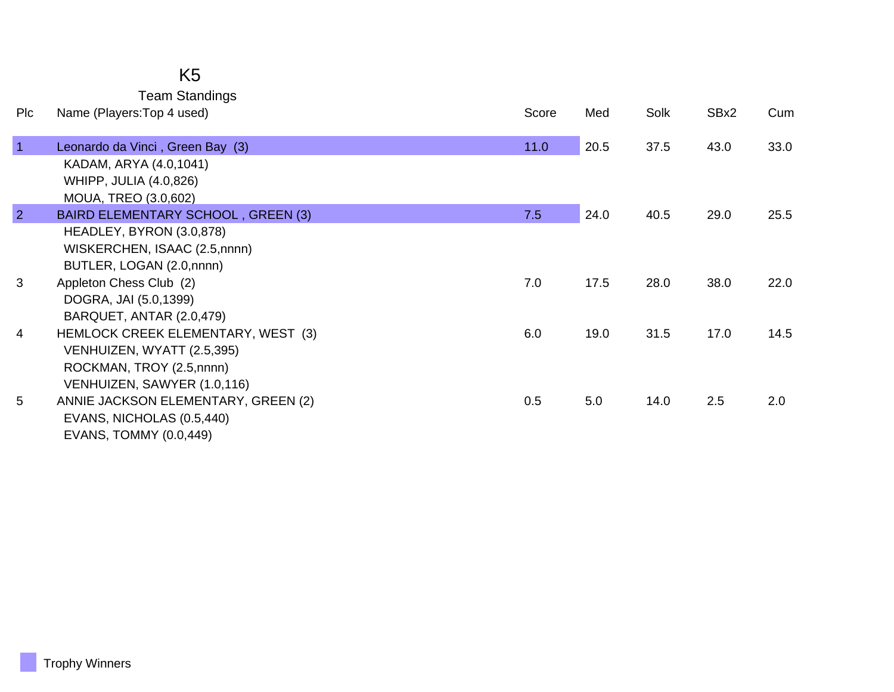## K5

Team Standings

| Plc            | Name (Players: Top 4 used)          | Score | Med  | Solk | SBx2 | Cum  |
|----------------|-------------------------------------|-------|------|------|------|------|
| $\overline{1}$ | Leonardo da Vinci, Green Bay (3)    | 11.0  | 20.5 | 37.5 | 43.0 | 33.0 |
|                | KADAM, ARYA (4.0,1041)              |       |      |      |      |      |
|                | <b>WHIPP, JULIA (4.0,826)</b>       |       |      |      |      |      |
|                | MOUA, TREO (3.0,602)                |       |      |      |      |      |
| $\overline{2}$ | BAIRD ELEMENTARY SCHOOL, GREEN (3)  | 7.5   | 24.0 | 40.5 | 29.0 | 25.5 |
|                | HEADLEY, BYRON (3.0,878)            |       |      |      |      |      |
|                | WISKERCHEN, ISAAC (2.5,nnnn)        |       |      |      |      |      |
|                | BUTLER, LOGAN (2.0,nnnn)            |       |      |      |      |      |
| 3              | Appleton Chess Club (2)             | 7.0   | 17.5 | 28.0 | 38.0 | 22.0 |
|                | DOGRA, JAI (5.0,1399)               |       |      |      |      |      |
|                | BARQUET, ANTAR (2.0,479)            |       |      |      |      |      |
| $\overline{4}$ | HEMLOCK CREEK ELEMENTARY, WEST (3)  | 6.0   | 19.0 | 31.5 | 17.0 | 14.5 |
|                | VENHUIZEN, WYATT (2.5,395)          |       |      |      |      |      |
|                | ROCKMAN, TROY (2.5,nnnn)            |       |      |      |      |      |
|                | VENHUIZEN, SAWYER (1.0,116)         |       |      |      |      |      |
| 5              | ANNIE JACKSON ELEMENTARY, GREEN (2) | 0.5   | 5.0  | 14.0 | 2.5  | 2.0  |
|                | EVANS, NICHOLAS (0.5,440)           |       |      |      |      |      |
|                | EVANS, TOMMY (0.0,449)              |       |      |      |      |      |